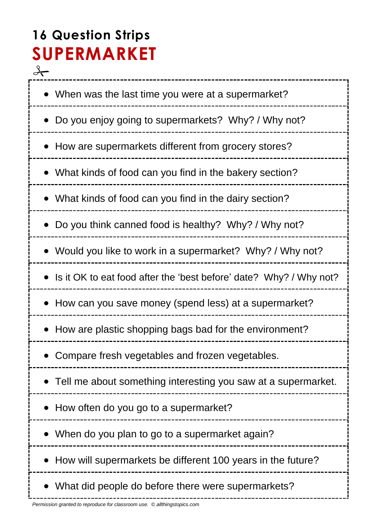# **16 Question Strips SUPERMARKET**

 $\rightarrow$ --------------------------- When was the last time you were at a supermarket? • Do you enjoy going to supermarkets? Why? / Why not? How are supermarkets different from grocery stores? What kinds of food can you find in the bakery section? What kinds of food can you find in the dairy section? Do you think canned food is healthy? Why? / Why not? Would you like to work in a supermarket? Why? / Why not? • Is it OK to eat food after the 'best before' date? Why? / Why not? • How can you save money (spend less) at a supermarket? • How are plastic shopping bags bad for the environment? Compare fresh vegetables and frozen vegetables. Tell me about something interesting you saw at a supermarket. • How often do you go to a supermarket? • When do you plan to go to a supermarket again? • How will supermarkets be different 100 years in the future? What did people do before there were supermarkets?